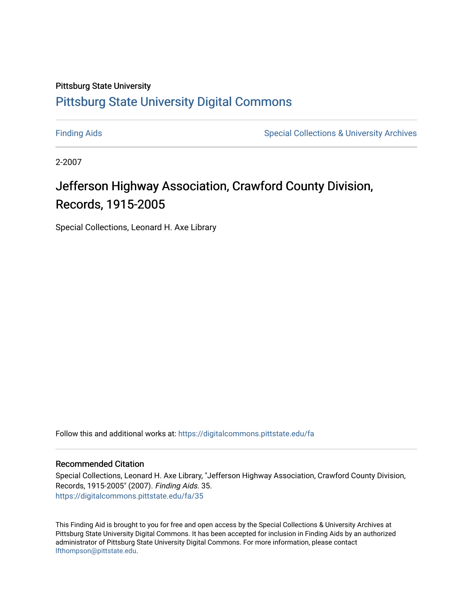# Pittsburg State University [Pittsburg State University Digital Commons](https://digitalcommons.pittstate.edu/)

[Finding Aids](https://digitalcommons.pittstate.edu/fa) **Special Collections & University Archives** Special Collections & University Archives

2-2007

# Jefferson Highway Association, Crawford County Division, Records, 1915-2005

Special Collections, Leonard H. Axe Library

Follow this and additional works at: [https://digitalcommons.pittstate.edu/fa](https://digitalcommons.pittstate.edu/fa?utm_source=digitalcommons.pittstate.edu%2Ffa%2F35&utm_medium=PDF&utm_campaign=PDFCoverPages) 

#### Recommended Citation

Special Collections, Leonard H. Axe Library, "Jefferson Highway Association, Crawford County Division, Records, 1915-2005" (2007). Finding Aids. 35. [https://digitalcommons.pittstate.edu/fa/35](https://digitalcommons.pittstate.edu/fa/35?utm_source=digitalcommons.pittstate.edu%2Ffa%2F35&utm_medium=PDF&utm_campaign=PDFCoverPages) 

This Finding Aid is brought to you for free and open access by the Special Collections & University Archives at Pittsburg State University Digital Commons. It has been accepted for inclusion in Finding Aids by an authorized administrator of Pittsburg State University Digital Commons. For more information, please contact [lfthompson@pittstate.edu.](mailto:lfthompson@pittstate.edu)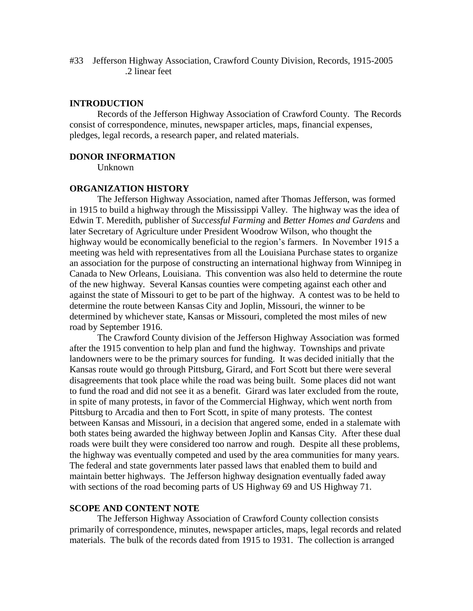#33 Jefferson Highway Association, Crawford County Division, Records, 1915-2005 .2 linear feet

#### **INTRODUCTION**

Records of the Jefferson Highway Association of Crawford County. The Records consist of correspondence, minutes, newspaper articles, maps, financial expenses, pledges, legal records, a research paper, and related materials.

#### **DONOR INFORMATION**

Unknown

#### **ORGANIZATION HISTORY**

The Jefferson Highway Association, named after Thomas Jefferson, was formed in 1915 to build a highway through the Mississippi Valley. The highway was the idea of Edwin T. Meredith, publisher of *Successful Farming* and *Better Homes and Gardens* and later Secretary of Agriculture under President Woodrow Wilson, who thought the highway would be economically beneficial to the region's farmers. In November 1915 a meeting was held with representatives from all the Louisiana Purchase states to organize an association for the purpose of constructing an international highway from Winnipeg in Canada to New Orleans, Louisiana. This convention was also held to determine the route of the new highway. Several Kansas counties were competing against each other and against the state of Missouri to get to be part of the highway. A contest was to be held to determine the route between Kansas City and Joplin, Missouri, the winner to be determined by whichever state, Kansas or Missouri, completed the most miles of new road by September 1916.

The Crawford County division of the Jefferson Highway Association was formed after the 1915 convention to help plan and fund the highway. Townships and private landowners were to be the primary sources for funding. It was decided initially that the Kansas route would go through Pittsburg, Girard, and Fort Scott but there were several disagreements that took place while the road was being built. Some places did not want to fund the road and did not see it as a benefit. Girard was later excluded from the route, in spite of many protests, in favor of the Commercial Highway, which went north from Pittsburg to Arcadia and then to Fort Scott, in spite of many protests. The contest between Kansas and Missouri, in a decision that angered some, ended in a stalemate with both states being awarded the highway between Joplin and Kansas City. After these dual roads were built they were considered too narrow and rough. Despite all these problems, the highway was eventually competed and used by the area communities for many years. The federal and state governments later passed laws that enabled them to build and maintain better highways. The Jefferson highway designation eventually faded away with sections of the road becoming parts of US Highway 69 and US Highway 71.

#### **SCOPE AND CONTENT NOTE**

The Jefferson Highway Association of Crawford County collection consists primarily of correspondence, minutes, newspaper articles, maps, legal records and related materials. The bulk of the records dated from 1915 to 1931. The collection is arranged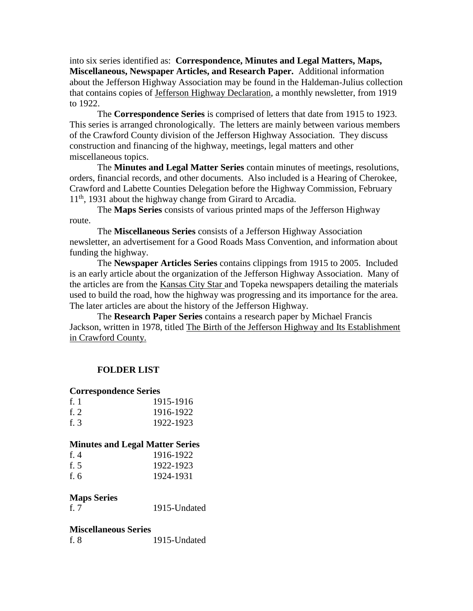into six series identified as: **Correspondence, Minutes and Legal Matters, Maps, Miscellaneous, Newspaper Articles, and Research Paper.** Additional information about the Jefferson Highway Association may be found in the Haldeman-Julius collection that contains copies of Jefferson Highway Declaration, a monthly newsletter, from 1919 to 1922.

The **Correspondence Series** is comprised of letters that date from 1915 to 1923. This series is arranged chronologically. The letters are mainly between various members of the Crawford County division of the Jefferson Highway Association. They discuss construction and financing of the highway, meetings, legal matters and other miscellaneous topics.

The **Minutes and Legal Matter Series** contain minutes of meetings, resolutions, orders, financial records, and other documents. Also included is a Hearing of Cherokee, Crawford and Labette Counties Delegation before the Highway Commission, February  $11<sup>th</sup>$ , 1931 about the highway change from Girard to Arcadia.

The **Maps Series** consists of various printed maps of the Jefferson Highway route.

The **Miscellaneous Series** consists of a Jefferson Highway Association newsletter, an advertisement for a Good Roads Mass Convention, and information about funding the highway.

The **Newspaper Articles Series** contains clippings from 1915 to 2005. Included is an early article about the organization of the Jefferson Highway Association. Many of the articles are from the Kansas City Star and Topeka newspapers detailing the materials used to build the road, how the highway was progressing and its importance for the area. The later articles are about the history of the Jefferson Highway.

The **Research Paper Series** contains a research paper by Michael Francis Jackson, written in 1978, titled The Birth of the Jefferson Highway and Its Establishment in Crawford County.

# **FOLDER LIST**

#### **Correspondence Series**

| $fr$ 1 | 1915-1916 |
|--------|-----------|
| f. 2   | 1916-1922 |
| f. 3   | 1922-1923 |

# **Minutes and Legal Matter Series**

| f. $4$ | 1916-1922 |
|--------|-----------|
| f. $5$ | 1922-1923 |
| f. $6$ | 1924-1931 |

# **Maps Series**

f. 7 1915-Undated

#### **Miscellaneous Series**

| f. 8 | 1915-Undated |
|------|--------------|
|      |              |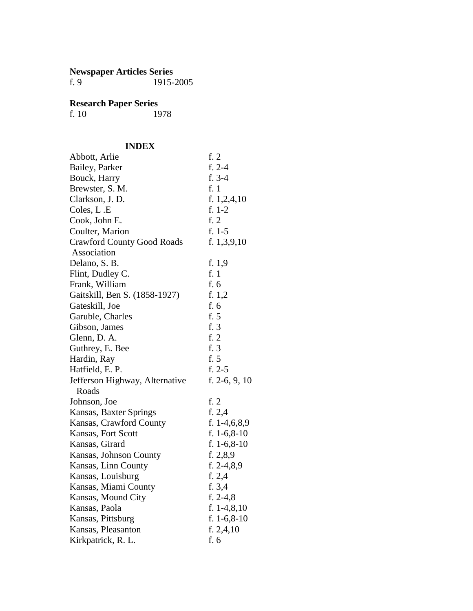#### **Newspaper Articles Series**

f. 9 1915-2005

#### **Research Paper Series**

f. 10 1978

# **INDEX**

| INDEA                             |                 |
|-----------------------------------|-----------------|
| Abbott, Arlie                     | f. $2$          |
| Bailey, Parker                    | $f. 2-4$        |
| Bouck, Harry                      | $f. 3-4$        |
| Brewster, S. M.                   | f. 1            |
| Clarkson, J.D.                    | f. 1,2,4,10     |
| Coles, L.E                        | $f. 1-2$        |
| Cook, John E.                     | f. 2            |
| Coulter, Marion                   | $f. 1-5$        |
| <b>Crawford County Good Roads</b> | f. $1,3,9,10$   |
| Association                       |                 |
| Delano, S. B.                     | f. 1,9          |
| Flint, Dudley C.                  | f. 1            |
| Frank, William                    | f. 6            |
| Gaitskill, Ben S. (1858-1927)     | f. 1,2          |
| Gateskill, Joe                    | f. 6            |
| Garuble, Charles                  | f. 5            |
| Gibson, James                     | f. 3            |
| Glenn, D. A.                      | f. 2            |
| Guthrey, E. Bee                   | f. 3            |
| Hardin, Ray                       | f. $5$          |
| Hatfield, E. P.                   | $f. 2-5$        |
| Jefferson Highway, Alternative    | f. 2-6, 9, 10   |
| Roads                             |                 |
| Johnson, Joe                      | f. $2$          |
| Kansas, Baxter Springs            | f. $2,4$        |
| Kansas, Crawford County           | f. $1-4,6,8,9$  |
| Kansas, Fort Scott                | f. $1-6, 8-10$  |
| Kansas, Girard                    | f. $1-6, 8-10$  |
| Kansas, Johnson County            | f. 2,8,9        |
| Kansas, Linn County               | f. $2-4,8,9$    |
| Kansas, Louisburg                 | f. $2,4$        |
| Kansas, Miami County              | f. 3,4          |
| Kansas, Mound City                | f. $2-4,8$      |
| Kansas, Paola                     | f. $1-4, 8, 10$ |
| Kansas, Pittsburg                 | f. $1-6, 8-10$  |
| Kansas, Pleasanton                | f. 2, 4, 10     |
| Kirkpatrick, R. L.                | f. 6            |